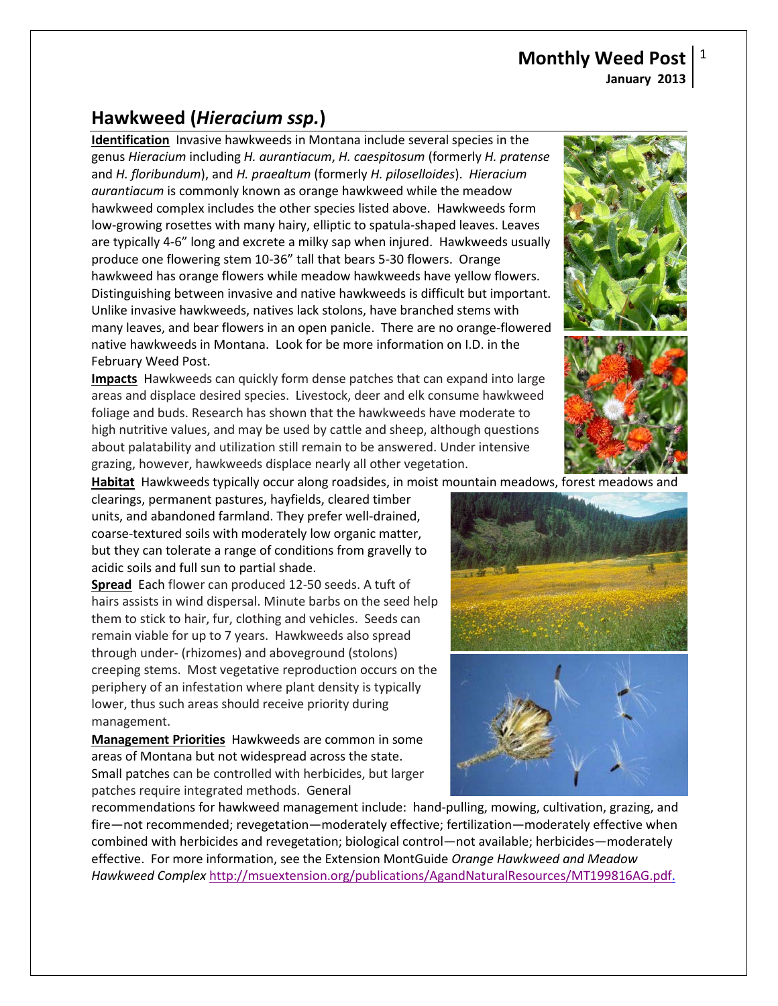## **Hawkweed (***Hieracium ssp.***)**

**Identification** Invasive hawkweeds in Montana include several species in the genus *Hieracium* including *H. aurantiacum*, *H. caespitosum* (formerly *H. pratense* and *H. floribundum*), and *H. praealtum* (formerly *H. piloselloides*). *Hieracium aurantiacum* is commonly known as orange hawkweed while the meadow hawkweed complex includes the other species listed above. Hawkweeds form low-growing rosettes with many hairy, elliptic to spatula-shaped leaves. Leaves are typically 4-6" long and excrete a milky sap when injured. Hawkweeds usually produce one flowering stem 10-36" tall that bears 5-30 flowers. Orange hawkweed has orange flowers while meadow hawkweeds have yellow flowers. Distinguishing between invasive and native hawkweeds is difficult but important. Unlike invasive hawkweeds, natives lack stolons, have branched stems with many leaves, and bear flowers in an open panicle. There are no orange-flowered native hawkweeds in Montana. Look for be more information on I.D. in the February Weed Post.

**Impacts** Hawkweeds can quickly form dense patches that can expand into large areas and displace desired species. Livestock, deer and elk consume hawkweed foliage and buds. Research has shown that the hawkweeds have moderate to high nutritive values, and may be used by cattle and sheep, although questions about palatability and utilization still remain to be answered. Under intensive grazing, however, hawkweeds displace nearly all other vegetation.

**Habitat** Hawkweeds typically occur along roadsides, in moist mountain meadows, forest meadows and

clearings, permanent pastures, hayfields, cleared timber units, and abandoned farmland. They prefer well-drained, coarse-textured soils with moderately low organic matter, but they can tolerate a range of conditions from gravelly to acidic soils and full sun to partial shade.

**Spread** Each flower can produced 12-50 seeds. A tuft of hairs assists in wind dispersal. Minute barbs on the seed help them to stick to hair, fur, clothing and vehicles. Seeds can remain viable for up to 7 years. Hawkweeds also spread through under- (rhizomes) and aboveground (stolons) creeping stems. Most vegetative reproduction occurs on the periphery of an infestation where plant density is typically lower, thus such areas should receive priority during management.

**Management Priorities** Hawkweeds are common in some areas of Montana but not widespread across the state. Small patches can be controlled with herbicides, but larger patches require integrated methods. General

recommendations for hawkweed management include: hand-pulling, mowing, cultivation, grazing, and fire—not recommended; revegetation—moderately effective; fertilization—moderately effective when combined with herbicides and revegetation; biological control—not available; herbicides—moderately effective. For more information, see the Extension MontGuide *Orange Hawkweed and Meadow Hawkweed Complex* [http://msuextension.org/publications/AgandNaturalResources/MT199816AG.pdf.](http://msuextension.org/publications/AgandNaturalResources/MT199816AG.pdf)